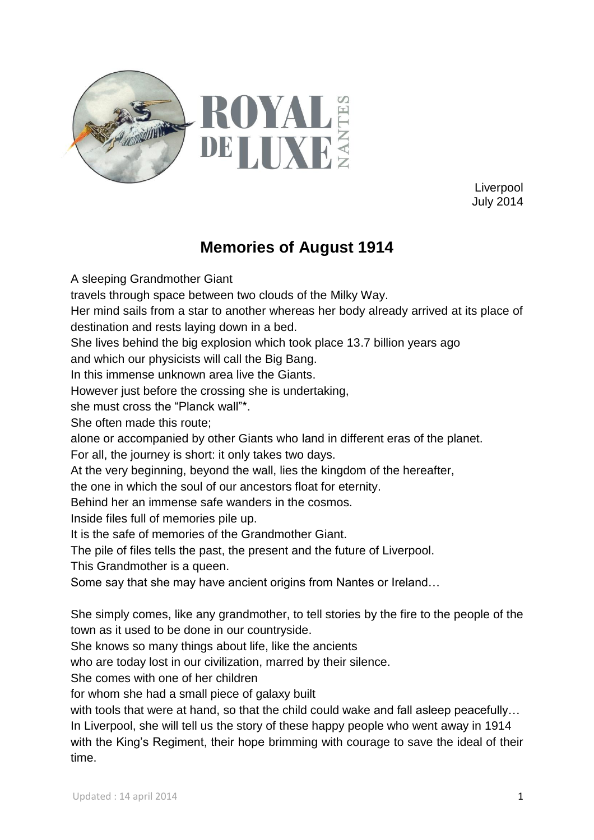

Liverpool July 2014

## **Memories of August 1914**

A sleeping Grandmother Giant travels through space between two clouds of the Milky Way. Her mind sails from a star to another whereas her body already arrived at its place of destination and rests laying down in a bed. She lives behind the big explosion which took place 13.7 billion years ago and which our physicists will call the Big Bang. In this immense unknown area live the Giants. However just before the crossing she is undertaking, she must cross the "Planck wall"\*. She often made this route; alone or accompanied by other Giants who land in different eras of the planet. For all, the journey is short: it only takes two days. At the very beginning, beyond the wall, lies the kingdom of the hereafter, the one in which the soul of our ancestors float for eternity. Behind her an immense safe wanders in the cosmos. Inside files full of memories pile up. It is the safe of memories of the Grandmother Giant. The pile of files tells the past, the present and the future of Liverpool. This Grandmother is a queen. Some say that she may have ancient origins from Nantes or Ireland… She simply comes, like any grandmother, to tell stories by the fire to the people of the town as it used to be done in our countryside. She knows so many things about life, like the ancients who are today lost in our civilization, marred by their silence. She comes with one of her children for whom she had a small piece of galaxy built with tools that were at hand, so that the child could wake and fall asleep peacefully... In Liverpool, she will tell us the story of these happy people who went away in 1914 with the King's Regiment, their hope brimming with courage to save the ideal of their

time.